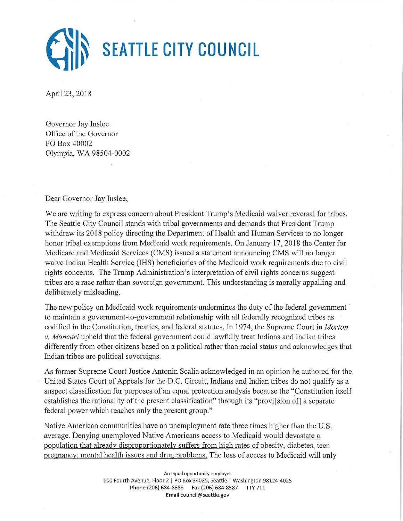

April 23, 2018

Governor Jay Inslee Office of the Governor PO Box 40002 Olympia, WA 98504-0002

Dear Governor Jay Inslee,

We are writing to express concern about President Trump's Medicaid waiver reversal for tribes. The Seattle City Council stands with tribal governments and demands that President Trump withdraw its 2018 policy directing the Department of Health and Human Services to no longer honor tribal exemptions from Medicaid work requirements. On January 17, 2018 the Center for Medicare and Medicaid Services (CMS) issued a statement announcing CMS will no longer waive Indian Health Service (IHS) beneficiaries of the Medicaid work requirements due to civil rights concerns. The Trump Administration's interpretation of civil rights concerns suggest tribes are a race rather than sovereign government. This understanding is morally appalling and deliberately misleading.

The new policy on Medicaid work requirements undermines the duty of the federal government to maintain a government-to-government relationship with all federally recognized tribes as codified in the Constitution, treaties, and federal statutes. In 1974, the Supreme Court in *Morton v. Mancari* upheld that the federal government could lawfully treat Indians and Indian tribes differently from other citizens based on a political rather than racial status and acknowledges that Indian tribes are political sovereigns.

As former Supreme Court Justice Antonin Scalia acknowledged in an opinion he authored for the United States Court of Appeals for the D.C. Circuit, Indians and Indian tribes do not qualify as a suspect classification for purposes of an equal protection analysis because the "Constitution itself establishes the rationality of the present classification" through its "provilsion of a separate federal power which reaches only the present group."

Native American communities have an unemployment rate three times higher than the U.S. average. Denying unemployed Native Americans access to Medicaid would devastate a population that already disproportionately suffers from high rates of obesity, diabetes, teen pregnancy, mental health issues and drug problems. The loss of access to Medicaid will only